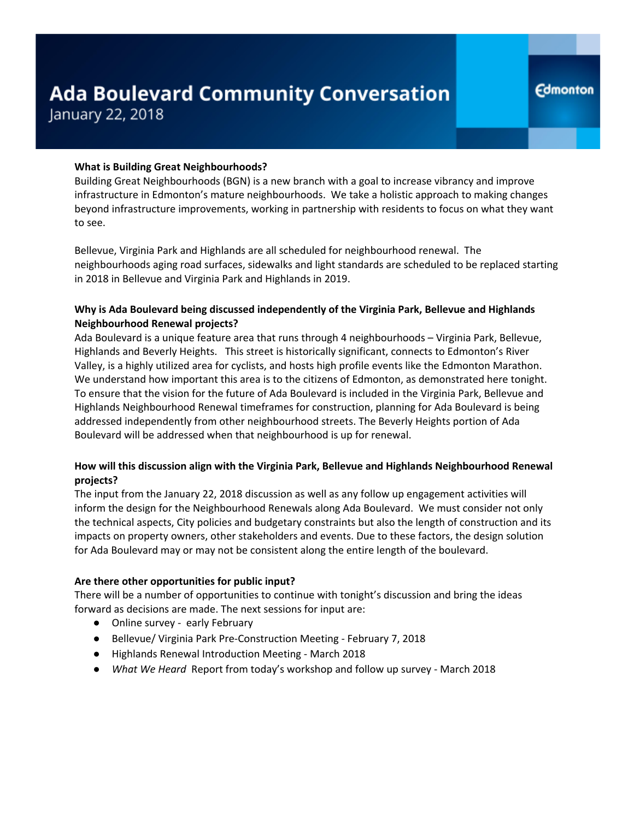## **What is Building Great Neighbourhoods?**

Building Great Neighbourhoods (BGN) is a new branch with a goal to increase vibrancy and improve infrastructure in Edmonton's mature neighbourhoods. We take a holistic approach to making changes beyond infrastructure improvements, working in partnership with residents to focus on what they want to see.

Bellevue, Virginia Park and Highlands are all scheduled for neighbourhood renewal. The neighbourhoods aging road surfaces, sidewalks and light standards are scheduled to be replaced starting in 2018 in Bellevue and Virginia Park and Highlands in 2019.

## **Why is Ada Boulevard being discussed independently of the Virginia Park, Bellevue and Highlands Neighbourhood Renewal projects?**

Ada Boulevard is a unique feature area that runs through 4 neighbourhoods – Virginia Park, Bellevue, Highlands and Beverly Heights. This street is historically significant, connects to Edmonton's River Valley, is a highly utilized area for cyclists, and hosts high profile events like the Edmonton Marathon. We understand how important this area is to the citizens of Edmonton, as demonstrated here tonight. To ensure that the vision for the future of Ada Boulevard is included in the Virginia Park, Bellevue and Highlands Neighbourhood Renewal timeframes for construction, planning for Ada Boulevard is being addressed independently from other neighbourhood streets. The Beverly Heights portion of Ada Boulevard will be addressed when that neighbourhood is up for renewal.

# **How will this discussion align with the Virginia Park, Bellevue and Highlands Neighbourhood Renewal projects?**

The input from the January 22, 2018 discussion as well as any follow up engagement activities will inform the design for the Neighbourhood Renewals along Ada Boulevard. We must consider not only the technical aspects, City policies and budgetary constraints but also the length of construction and its impacts on property owners, other stakeholders and events. Due to these factors, the design solution for Ada Boulevard may or may not be consistent along the entire length of the boulevard.

#### **Are there other opportunities for public input?**

There will be a number of opportunities to continue with tonight's discussion and bring the ideas forward as decisions are made. The next sessions for input are:

- Online survey early February
- Bellevue/ Virginia Park Pre-Construction Meeting February 7, 2018
- Highlands Renewal Introduction Meeting March 2018
- *What We Heard* Report from today's workshop and follow up survey March 2018